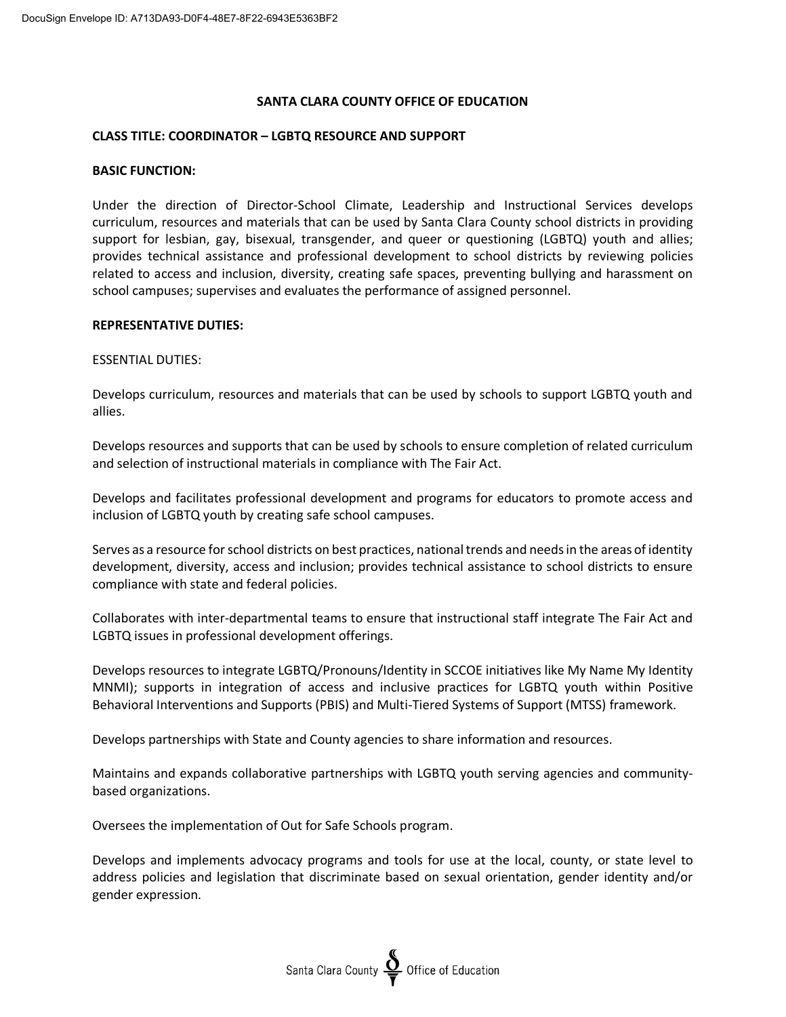## **SANTA CLARA COUNTY OFFICE OF EDUCATION**

#### **CLASS TITLE: COORDINATOR – LGBTQ RESOURCE AND SUPPORT**

#### **BASIC FUNCTION:**

Under the direction of Director-School Climate, Leadership and Instructional Services develops curriculum, resources and materials that can be used by Santa Clara County school districts in providing support for lesbian, gay, bisexual, transgender, and queer or questioning (LGBTQ) youth and allies; provides technical assistance and professional development to school districts by reviewing policies related to access and inclusion, diversity, creating safe spaces, preventing bullying and harassment on school campuses; supervises and evaluates the performance of assigned personnel.

#### **REPRESENTATIVE DUTIES:**

#### ESSENTIAL DUTIES:

Develops curriculum, resources and materials that can be used by schools to support LGBTQ youth and allies.

Develops resources and supports that can be used by schools to ensure completion of related curriculum and selection of instructional materials in compliance with The Fair Act.

Develops and facilitates professional development and programs for educators to promote access and inclusion of LGBTQ youth by creating safe school campuses.

Serves as a resource for school districts on best practices, national trends and needs in the areas of identity development, diversity, access and inclusion; provides technical assistance to school districts to ensure compliance with state and federal policies.

Collaborates with inter-departmental teams to ensure that instructional staff integrate The Fair Act and LGBTQ issues in professional development offerings.

Develops resources to integrate LGBTQ/Pronouns/Identity in SCCOE initiatives like My Name My Identity MNMI); supports in integration of access and inclusive practices for LGBTQ youth within Positive Behavioral Interventions and Supports (PBIS) and Multi-Tiered Systems of Support (MTSS) framework.

Develops partnerships with State and County agencies to share information and resources.

Maintains and expands collaborative partnerships with LGBTQ youth serving agencies and communitybased organizations.

Oversees the implementation of Out for Safe Schools program.

Develops and implements advocacy programs and tools for use at the local, county, or state level to address policies and legislation that discriminate based on sexual orientation, gender identity and/or gender expression.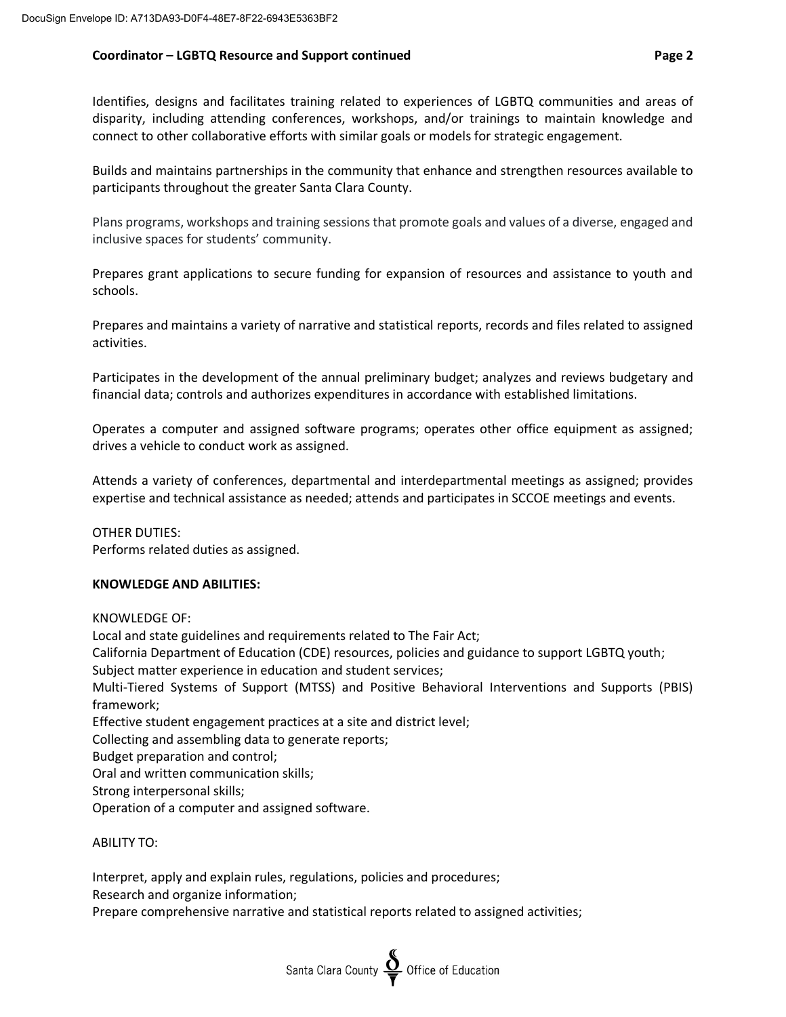# **Coordinator – LGBTQ Resource and Support continued Page 2**

Identifies, designs and facilitates training related to experiences of LGBTQ communities and areas of disparity, including attending conferences, workshops, and/or trainings to maintain knowledge and connect to other collaborative efforts with similar goals or models for strategic engagement.

Builds and maintains partnerships in the community that enhance and strengthen resources available to participants throughout the greater Santa Clara County.

Plans programs, workshops and training sessions that promote goals and values of a diverse, engaged and inclusive spaces for students' community.

Prepares grant applications to secure funding for expansion of resources and assistance to youth and schools.

Prepares and maintains a variety of narrative and statistical reports, records and files related to assigned activities.

Participates in the development of the annual preliminary budget; analyzes and reviews budgetary and financial data; controls and authorizes expenditures in accordance with established limitations.

Operates a computer and assigned software programs; operates other office equipment as assigned; drives a vehicle to conduct work as assigned.

Attends a variety of conferences, departmental and interdepartmental meetings as assigned; provides expertise and technical assistance as needed; attends and participates in SCCOE meetings and events.

OTHER DUTIES: Performs related duties as assigned.

# **KNOWLEDGE AND ABILITIES:**

KNOWLEDGE OF:

Local and state guidelines and requirements related to The Fair Act; California Department of Education (CDE) resources, policies and guidance to support LGBTQ youth; Subject matter experience in education and student services; Multi-Tiered Systems of Support (MTSS) and Positive Behavioral Interventions and Supports (PBIS) framework; Effective student engagement practices at a site and district level; Collecting and assembling data to generate reports; Budget preparation and control; Oral and written communication skills; Strong interpersonal skills; Operation of a computer and assigned software.

# ABILITY TO:

Interpret, apply and explain rules, regulations, policies and procedures; Research and organize information; Prepare comprehensive narrative and statistical reports related to assigned activities;